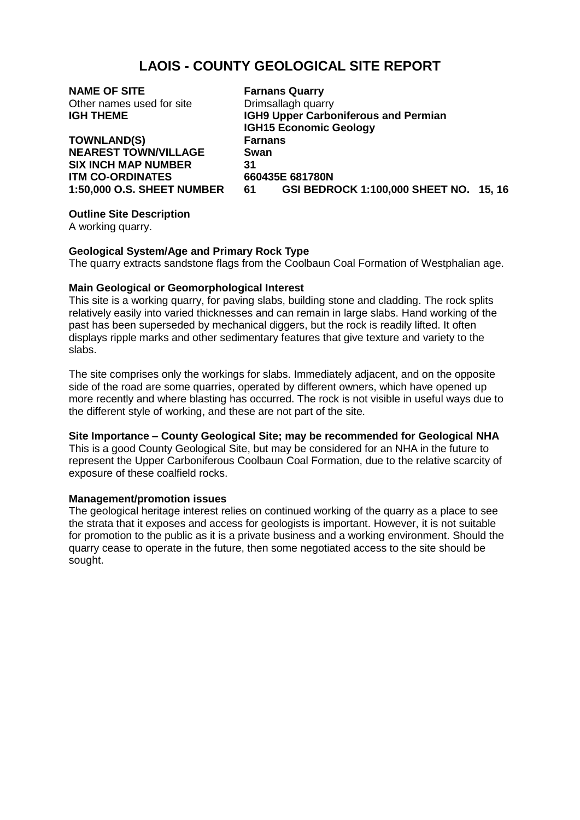# **LAOIS - COUNTY GEOLOGICAL SITE REPORT**

| <b>NAME OF SITE</b>               | <b>Farnans Quarry</b>                |                                        |  |
|-----------------------------------|--------------------------------------|----------------------------------------|--|
| Other names used for site         | Drimsallagh quarry                   |                                        |  |
| <b>IGH THEME</b>                  | IGH9 Upper Carboniferous and Permian |                                        |  |
|                                   | <b>IGH15 Economic Geology</b>        |                                        |  |
| <b>TOWNLAND(S)</b>                | <b>Farnans</b>                       |                                        |  |
| <b>NEAREST TOWN/VILLAGE</b>       | Swan                                 |                                        |  |
| <b>SIX INCH MAP NUMBER</b>        | 31                                   |                                        |  |
| <b>ITM CO-ORDINATES</b>           | 660435E 681780N                      |                                        |  |
| <b>1:50,000 O.S. SHEET NUMBER</b> | 61                                   | GSI BEDROCK 1:100,000 SHEET NO. 15, 16 |  |
|                                   |                                      |                                        |  |

# **Outline Site Description**

A working quarry.

# **Geological System/Age and Primary Rock Type**

The quarry extracts sandstone flags from the Coolbaun Coal Formation of Westphalian age.

# **Main Geological or Geomorphological Interest**

This site is a working quarry, for paving slabs, building stone and cladding. The rock splits relatively easily into varied thicknesses and can remain in large slabs. Hand working of the past has been superseded by mechanical diggers, but the rock is readily lifted. It often displays ripple marks and other sedimentary features that give texture and variety to the slabs.

The site comprises only the workings for slabs. Immediately adjacent, and on the opposite side of the road are some quarries, operated by different owners, which have opened up more recently and where blasting has occurred. The rock is not visible in useful ways due to the different style of working, and these are not part of the site.

### **Site Importance – County Geological Site; may be recommended for Geological NHA**

This is a good County Geological Site, but may be considered for an NHA in the future to represent the Upper Carboniferous Coolbaun Coal Formation, due to the relative scarcity of exposure of these coalfield rocks.

### **Management/promotion issues**

The geological heritage interest relies on continued working of the quarry as a place to see the strata that it exposes and access for geologists is important. However, it is not suitable for promotion to the public as it is a private business and a working environment. Should the quarry cease to operate in the future, then some negotiated access to the site should be sought.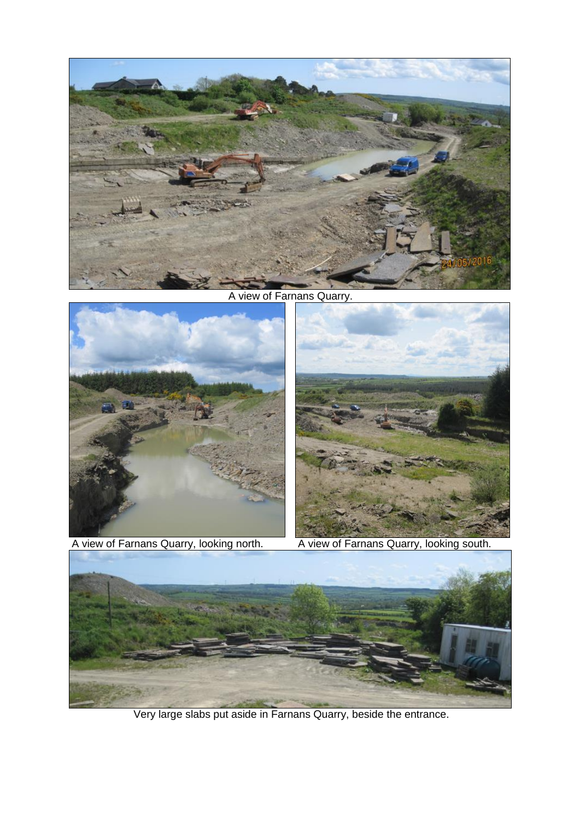

A view of Farnans Quarry.





A view of Farnans Quarry, looking north. A view of Farnans Quarry, looking south.



Very large slabs put aside in Farnans Quarry, beside the entrance.